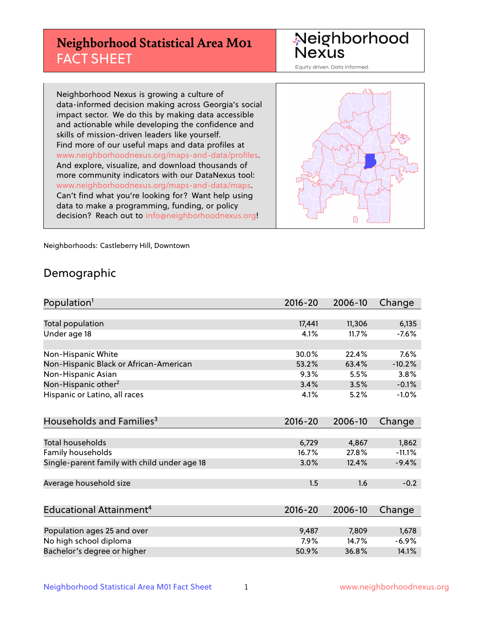# **Neighborhood Statistical Area M01** FACT SHEET

Neighborhood Nexus

Equity driven. Data informed.

Neighborhood Nexus is growing a culture of data-informed decision making across Georgia's social impact sector. We do this by making data accessible and actionable while developing the confidence and skills of mission-driven leaders like yourself. Find more of our useful maps and data profiles at www.neighborhoodnexus.org/maps-and-data/profiles. And explore, visualize, and download thousands of more community indicators with our DataNexus tool: www.neighborhoodnexus.org/maps-and-data/maps. Can't find what you're looking for? Want help using data to make a programming, funding, or policy decision? Reach out to [info@neighborhoodnexus.org!](mailto:info@neighborhoodnexus.org)



Neighborhoods: Castleberry Hill, Downtown

### Demographic

| Population <sup>1</sup>                      | 2016-20     | 2006-10 | Change   |
|----------------------------------------------|-------------|---------|----------|
|                                              |             |         |          |
| <b>Total population</b>                      | 17,441      | 11,306  | 6,135    |
| Under age 18                                 | 4.1%        | 11.7%   | $-7.6%$  |
|                                              |             |         |          |
| Non-Hispanic White                           | 30.0%       | 22.4%   | 7.6%     |
| Non-Hispanic Black or African-American       | 53.2%       | 63.4%   | $-10.2%$ |
| Non-Hispanic Asian                           | 9.3%        | 5.5%    | 3.8%     |
| Non-Hispanic other <sup>2</sup>              | 3.4%        | 3.5%    | $-0.1%$  |
| Hispanic or Latino, all races                | 4.1%        | 5.2%    | $-1.0%$  |
|                                              |             |         |          |
| Households and Families <sup>3</sup>         | $2016 - 20$ | 2006-10 | Change   |
|                                              |             |         |          |
| Total households                             | 6,729       | 4,867   | 1,862    |
| Family households                            | 16.7%       | 27.8%   | $-11.1%$ |
| Single-parent family with child under age 18 | 3.0%        | 12.4%   | $-9.4%$  |
|                                              |             |         |          |
| Average household size                       | 1.5         | 1.6     | $-0.2$   |
|                                              |             |         |          |
| Educational Attainment <sup>4</sup>          | 2016-20     | 2006-10 | Change   |
|                                              |             |         |          |
| Population ages 25 and over                  | 9,487       | 7,809   | 1,678    |
| No high school diploma                       | 7.9%        | 14.7%   | $-6.9%$  |
| Bachelor's degree or higher                  | 50.9%       | 36.8%   | 14.1%    |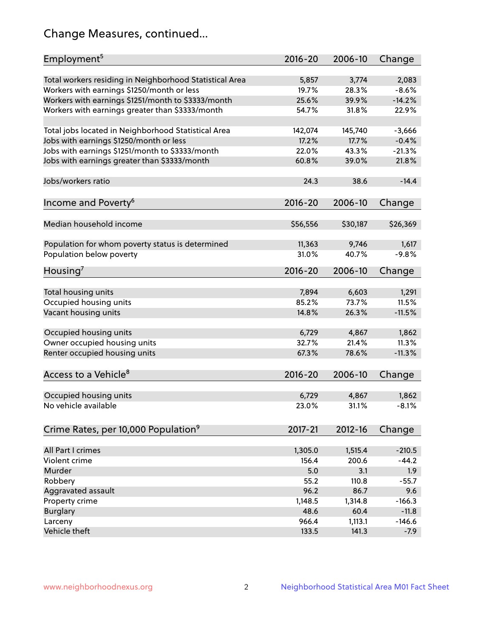# Change Measures, continued...

| Employment <sup>5</sup>                                 | 2016-20     | 2006-10  | Change   |
|---------------------------------------------------------|-------------|----------|----------|
| Total workers residing in Neighborhood Statistical Area | 5,857       | 3,774    | 2,083    |
| Workers with earnings \$1250/month or less              | 19.7%       | 28.3%    | $-8.6%$  |
| Workers with earnings \$1251/month to \$3333/month      | 25.6%       | 39.9%    | $-14.2%$ |
| Workers with earnings greater than \$3333/month         | 54.7%       | 31.8%    | 22.9%    |
|                                                         |             |          |          |
| Total jobs located in Neighborhood Statistical Area     | 142,074     | 145,740  | $-3,666$ |
| Jobs with earnings \$1250/month or less                 | 17.2%       | 17.7%    | $-0.4%$  |
| Jobs with earnings \$1251/month to \$3333/month         | 22.0%       | 43.3%    | $-21.3%$ |
| Jobs with earnings greater than \$3333/month            | 60.8%       | 39.0%    | 21.8%    |
|                                                         |             |          |          |
| Jobs/workers ratio                                      | 24.3        | 38.6     | $-14.4$  |
|                                                         |             |          |          |
| Income and Poverty <sup>6</sup>                         | 2016-20     | 2006-10  | Change   |
|                                                         |             |          |          |
| Median household income                                 | \$56,556    | \$30,187 | \$26,369 |
|                                                         |             |          |          |
| Population for whom poverty status is determined        | 11,363      | 9,746    | 1,617    |
| Population below poverty                                | 31.0%       | 40.7%    | $-9.8%$  |
|                                                         |             |          |          |
| Housing <sup>7</sup>                                    | 2016-20     | 2006-10  | Change   |
|                                                         |             |          |          |
| Total housing units                                     | 7,894       | 6,603    | 1,291    |
| Occupied housing units                                  | 85.2%       | 73.7%    | 11.5%    |
| Vacant housing units                                    | 14.8%       | 26.3%    | $-11.5%$ |
|                                                         |             |          |          |
| Occupied housing units                                  | 6,729       | 4,867    | 1,862    |
| Owner occupied housing units                            | 32.7%       | 21.4%    | 11.3%    |
| Renter occupied housing units                           | 67.3%       | 78.6%    | $-11.3%$ |
|                                                         |             |          |          |
| Access to a Vehicle <sup>8</sup>                        | $2016 - 20$ | 2006-10  | Change   |
|                                                         |             |          |          |
| Occupied housing units                                  | 6,729       | 4,867    | 1,862    |
| No vehicle available                                    | 23.0%       | 31.1%    | $-8.1%$  |
|                                                         |             |          |          |
| Crime Rates, per 10,000 Population <sup>9</sup>         | 2017-21     | 2012-16  | Change   |
|                                                         |             |          |          |
| All Part I crimes                                       | 1,305.0     | 1,515.4  | $-210.5$ |
| Violent crime                                           | 156.4       | 200.6    | $-44.2$  |
| Murder                                                  | 5.0         | 3.1      | 1.9      |
| Robbery                                                 | 55.2        | 110.8    | $-55.7$  |
| Aggravated assault                                      | 96.2        | 86.7     | 9.6      |
| Property crime                                          | 1,148.5     | 1,314.8  | $-166.3$ |
| <b>Burglary</b>                                         | 48.6        | 60.4     | $-11.8$  |
| Larceny                                                 | 966.4       | 1,113.1  | $-146.6$ |
| Vehicle theft                                           | 133.5       | 141.3    | $-7.9$   |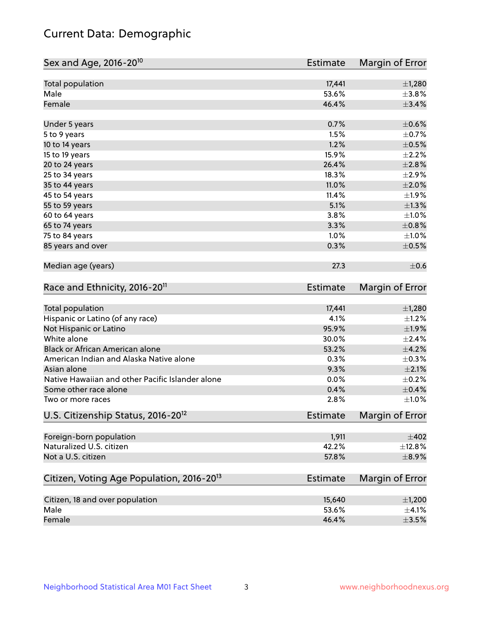# Current Data: Demographic

| Sex and Age, 2016-20 <sup>10</sup>                    | Estimate        | Margin of Error        |
|-------------------------------------------------------|-----------------|------------------------|
| Total population                                      | 17,441          | $\pm$ 1,280            |
| Male                                                  | 53.6%           | $\pm$ 3.8%             |
| Female                                                | 46.4%           | ±3.4%                  |
| Under 5 years                                         | 0.7%            | $\pm$ 0.6%             |
| 5 to 9 years                                          | 1.5%            | $\pm$ 0.7%             |
| 10 to 14 years                                        | 1.2%            | $\pm$ 0.5%             |
| 15 to 19 years                                        | 15.9%           | $\pm 2.2\%$            |
| 20 to 24 years                                        | 26.4%           | $\pm 2.8\%$            |
| 25 to 34 years                                        | 18.3%           | $\pm 2.9\%$            |
| 35 to 44 years                                        | 11.0%           | $\pm 2.0\%$            |
| 45 to 54 years                                        | 11.4%           | $\pm 1.9\%$            |
| 55 to 59 years                                        | 5.1%            | $\pm 1.3\%$            |
| 60 to 64 years                                        | 3.8%            | $\pm 1.0\%$            |
| 65 to 74 years                                        | 3.3%            | $\pm$ 0.8%             |
| 75 to 84 years                                        | 1.0%            | $\pm 1.0\%$            |
| 85 years and over                                     | 0.3%            | $\pm$ 0.5%             |
| Median age (years)                                    | 27.3            | $\pm$ 0.6              |
| Race and Ethnicity, 2016-20 <sup>11</sup>             | <b>Estimate</b> | Margin of Error        |
| Total population                                      | 17,441          | $\pm$ 1,280            |
| Hispanic or Latino (of any race)                      | 4.1%            | $\pm 1.2\%$            |
| Not Hispanic or Latino                                | 95.9%           | ±1.9%                  |
| White alone                                           | 30.0%           | $\pm$ 2.4%             |
| Black or African American alone                       | 53.2%           | $\pm$ 4.2%             |
| American Indian and Alaska Native alone               | 0.3%            | $\pm$ 0.3%             |
| Asian alone                                           | 9.3%            | $\pm 2.1\%$            |
| Native Hawaiian and other Pacific Islander alone      | 0.0%            | $\pm$ 0.2%             |
| Some other race alone                                 | 0.4%            | $\pm$ 0.4%             |
| Two or more races                                     | 2.8%            | $\pm1.0\%$             |
| U.S. Citizenship Status, 2016-20 <sup>12</sup>        | Estimate        | <b>Margin of Error</b> |
| Foreign-born population                               | 1,911           | $\pm 402$              |
| Naturalized U.S. citizen                              | 42.2%           | ±12.8%                 |
| Not a U.S. citizen                                    | 57.8%           | $\pm$ 8.9%             |
| Citizen, Voting Age Population, 2016-20 <sup>13</sup> | Estimate        | Margin of Error        |
| Citizen, 18 and over population                       | 15,640          | $\pm$ 1,200            |
| Male                                                  | 53.6%           | $\pm$ 4.1%             |
| Female                                                | 46.4%           | $\pm$ 3.5%             |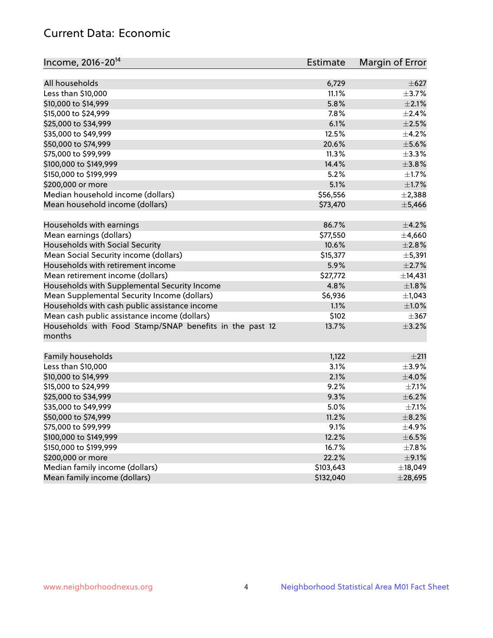# Current Data: Economic

| Income, 2016-20 <sup>14</sup>                                     | <b>Estimate</b> | Margin of Error |
|-------------------------------------------------------------------|-----------------|-----------------|
| All households                                                    | 6,729           | $\pm$ 627       |
| Less than \$10,000                                                | 11.1%           | $\pm$ 3.7%      |
|                                                                   | 5.8%            | $\pm 2.1\%$     |
| \$10,000 to \$14,999<br>\$15,000 to \$24,999                      |                 |                 |
|                                                                   | 7.8%            | $\pm 2.4\%$     |
| \$25,000 to \$34,999                                              | 6.1%            | $\pm 2.5\%$     |
| \$35,000 to \$49,999                                              | 12.5%           | $\pm$ 4.2%      |
| \$50,000 to \$74,999                                              | 20.6%           | $\pm$ 5.6%      |
| \$75,000 to \$99,999                                              | 11.3%           | $\pm$ 3.3%      |
| \$100,000 to \$149,999                                            | 14.4%           | ±3.8%           |
| \$150,000 to \$199,999                                            | 5.2%            | $\pm 1.7\%$     |
| \$200,000 or more                                                 | 5.1%            | $\pm1.7\%$      |
| Median household income (dollars)                                 | \$56,556        | $\pm 2,388$     |
| Mean household income (dollars)                                   | \$73,470        | ±5,466          |
| Households with earnings                                          | 86.7%           | $\pm$ 4.2%      |
| Mean earnings (dollars)                                           | \$77,550        | ±4,660          |
| Households with Social Security                                   | 10.6%           | $\pm 2.8\%$     |
| Mean Social Security income (dollars)                             | \$15,377        | ±5,391          |
| Households with retirement income                                 | 5.9%            | $\pm 2.7\%$     |
| Mean retirement income (dollars)                                  | \$27,772        | ±14,431         |
| Households with Supplemental Security Income                      | 4.8%            | $\pm1.8\%$      |
| Mean Supplemental Security Income (dollars)                       | \$6,936         | $\pm$ 1,043     |
| Households with cash public assistance income                     | 1.1%            | $\pm1.0\%$      |
| Mean cash public assistance income (dollars)                      | \$102           | $\pm$ 367       |
| Households with Food Stamp/SNAP benefits in the past 12<br>months | 13.7%           | $\pm$ 3.2%      |
| Family households                                                 | 1,122           | ±211            |
| Less than \$10,000                                                | 3.1%            | $\pm$ 3.9%      |
| \$10,000 to \$14,999                                              | 2.1%            | $\pm$ 4.0%      |
| \$15,000 to \$24,999                                              | 9.2%            | $\pm$ 7.1%      |
| \$25,000 to \$34,999                                              | 9.3%            | $\pm$ 6.2%      |
| \$35,000 to \$49,999                                              | 5.0%            | $\pm$ 7.1%      |
|                                                                   |                 |                 |
| \$50,000 to \$74,999                                              | 11.2%           | $\pm$ 8.2%      |
| \$75,000 to \$99,999                                              | 9.1%            | $\pm$ 4.9%      |
| \$100,000 to \$149,999                                            | 12.2%           | $\pm$ 6.5%      |
| \$150,000 to \$199,999                                            | 16.7%           | $\pm$ 7.8%      |
| \$200,000 or more                                                 | 22.2%           | $\pm$ 9.1%      |
| Median family income (dollars)                                    | \$103,643       | ±18,049         |
| Mean family income (dollars)                                      | \$132,040       | $±$ 28,695      |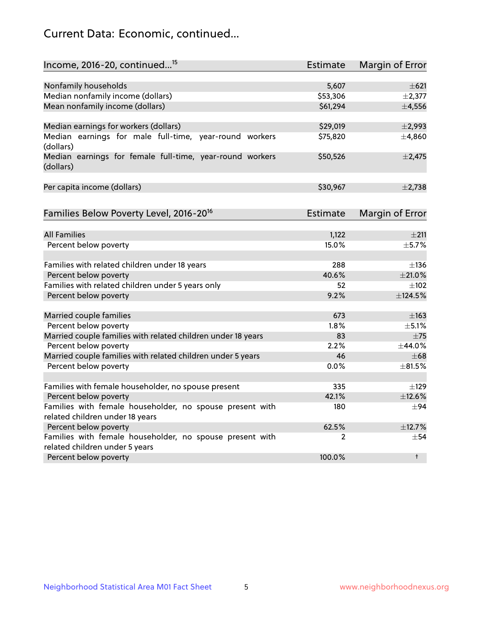# Current Data: Economic, continued...

| Income, 2016-20, continued <sup>15</sup>                              | <b>Estimate</b> | Margin of Error |
|-----------------------------------------------------------------------|-----------------|-----------------|
|                                                                       |                 |                 |
| Nonfamily households                                                  | 5,607           | $\pm 621$       |
| Median nonfamily income (dollars)                                     | \$53,306        | $\pm 2,377$     |
| Mean nonfamily income (dollars)                                       | \$61,294        | $\pm$ 4,556     |
| Median earnings for workers (dollars)                                 | \$29,019        | $\pm$ 2,993     |
| Median earnings for male full-time, year-round workers<br>(dollars)   | \$75,820        | ±4,860          |
| Median earnings for female full-time, year-round workers<br>(dollars) | \$50,526        | $\pm$ 2,475     |
| Per capita income (dollars)                                           | \$30,967        | $\pm$ 2,738     |
| Families Below Poverty Level, 2016-20 <sup>16</sup>                   | <b>Estimate</b> | Margin of Error |
|                                                                       |                 |                 |
| <b>All Families</b>                                                   | 1,122           | ±211            |
| Percent below poverty                                                 | 15.0%           | $+5.7%$         |
| Families with related children under 18 years                         | 288             | $\pm$ 136       |
| Percent below poverty                                                 | 40.6%           | $\pm 21.0\%$    |
| Families with related children under 5 years only                     | 52              | $\pm 102$       |
| Percent below poverty                                                 | 9.2%            | ±124.5%         |
| Married couple families                                               | 673             | $\pm$ 163       |
| Percent below poverty                                                 | 1.8%            | $\pm$ 5.1%      |
| Married couple families with related children under 18 years          | 83              | $\pm$ 75        |
| Percent below poverty                                                 | 2.2%            | ±44.0%          |
| Married couple families with related children under 5 years           | 46              | $\pm 68$        |
| Percent below poverty                                                 | $0.0\%$         | $\pm$ 81.5%     |
| Families with female householder, no spouse present                   | 335             | $\pm$ 129       |
| Percent below poverty                                                 | 42.1%           | ±12.6%          |
| Families with female householder, no spouse present with              | 180             | $\pm$ 94        |
| related children under 18 years                                       |                 |                 |
| Percent below poverty                                                 | 62.5%           | ±12.7%          |
| Families with female householder, no spouse present with              | 2               | $\pm$ 54        |
| related children under 5 years                                        |                 |                 |
| Percent below poverty                                                 | 100.0%          | $\ddagger$      |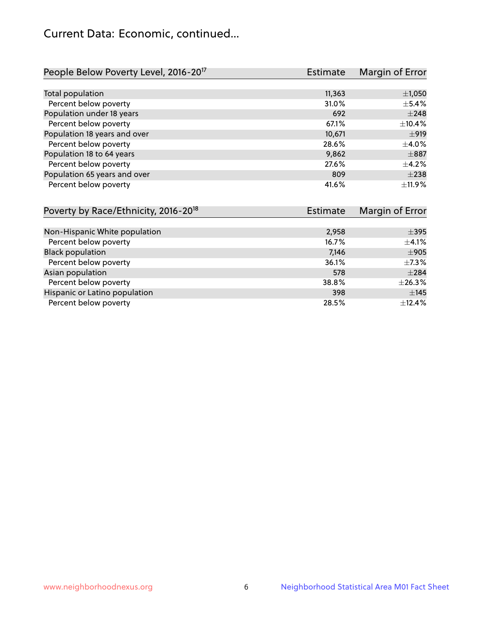# Current Data: Economic, continued...

| People Below Poverty Level, 2016-20 <sup>17</sup> | <b>Estimate</b> | Margin of Error |
|---------------------------------------------------|-----------------|-----------------|
|                                                   |                 |                 |
| Total population                                  | 11,363          | $\pm$ 1,050     |
| Percent below poverty                             | 31.0%           | $\pm$ 5.4%      |
| Population under 18 years                         | 692             | $\pm 248$       |
| Percent below poverty                             | 67.1%           | ±10.4%          |
| Population 18 years and over                      | 10,671          | ±919            |
| Percent below poverty                             | 28.6%           | $\pm 4.0\%$     |
| Population 18 to 64 years                         | 9,862           | $\pm$ 887       |
| Percent below poverty                             | 27.6%           | $+4.2%$         |
| Population 65 years and over                      | 809             | $\pm 238$       |
| Percent below poverty                             | 41.6%           | ±11.9%          |

| Poverty by Race/Ethnicity, 2016-20 <sup>18</sup> | Margin of Error<br>Estimate |            |
|--------------------------------------------------|-----------------------------|------------|
|                                                  |                             |            |
| Non-Hispanic White population                    | 2,958                       | $\pm$ 395  |
| Percent below poverty                            | 16.7%                       | $\pm$ 4.1% |
| <b>Black population</b>                          | 7,146                       | $\pm$ 905  |
| Percent below poverty                            | 36.1%                       | $\pm$ 7.3% |
| Asian population                                 | 578                         | $\pm 284$  |
| Percent below poverty                            | 38.8%                       | ±26.3%     |
| Hispanic or Latino population                    | 398                         | ±145       |
| Percent below poverty                            | 28.5%                       | ±12.4%     |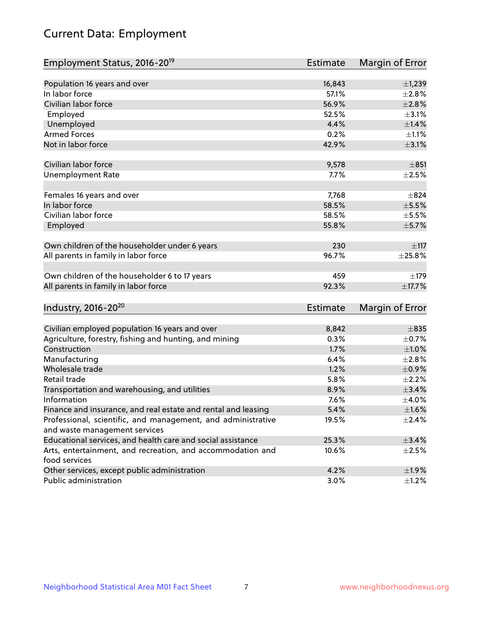# Current Data: Employment

| Employment Status, 2016-20 <sup>19</sup>                      | <b>Estimate</b> | Margin of Error |
|---------------------------------------------------------------|-----------------|-----------------|
|                                                               |                 |                 |
| Population 16 years and over                                  | 16,843          | $\pm$ 1,239     |
| In labor force                                                | 57.1%           | ±2.8%           |
| Civilian labor force                                          | 56.9%           | $\pm 2.8\%$     |
| Employed                                                      | 52.5%           | $\pm$ 3.1%      |
| Unemployed                                                    | 4.4%            | $\pm 1.4\%$     |
| <b>Armed Forces</b>                                           | 0.2%            | $\pm 1.1\%$     |
| Not in labor force                                            | 42.9%           | $\pm$ 3.1%      |
|                                                               |                 |                 |
| Civilian labor force                                          | 9,578           | $\pm 851$       |
| <b>Unemployment Rate</b>                                      | 7.7%            | $\pm 2.5\%$     |
|                                                               |                 |                 |
| Females 16 years and over                                     | 7,768           | $\pm$ 824       |
| In labor force                                                | 58.5%           | $\pm$ 5.5%      |
| Civilian labor force                                          | 58.5%           | $\pm$ 5.5%      |
| Employed                                                      | 55.8%           | ±5.7%           |
| Own children of the householder under 6 years                 | 230             | $\pm$ 117       |
| All parents in family in labor force                          | 96.7%           | $\pm 25.8\%$    |
|                                                               |                 |                 |
| Own children of the householder 6 to 17 years                 | 459             | ±179            |
| All parents in family in labor force                          | 92.3%           | ±17.7%          |
|                                                               |                 |                 |
| Industry, 2016-20 <sup>20</sup>                               | <b>Estimate</b> | Margin of Error |
|                                                               |                 |                 |
| Civilian employed population 16 years and over                | 8,842           | $\pm 835$       |
| Agriculture, forestry, fishing and hunting, and mining        | 0.3%            | $\pm$ 0.7%      |
| Construction                                                  | 1.7%            | ±1.0%           |
| Manufacturing                                                 | 6.4%            | ±2.8%           |
| Wholesale trade                                               | 1.2%            | $\pm$ 0.9%      |
| Retail trade                                                  | 5.8%            | $\pm 2.2\%$     |
| Transportation and warehousing, and utilities                 | 8.9%            | $\pm$ 3.4%      |
| Information                                                   | 7.6%            | $\pm$ 4.0%      |
| Finance and insurance, and real estate and rental and leasing | 5.4%            | $\pm1.6\%$      |
| Professional, scientific, and management, and administrative  | 19.5%           | $\pm$ 2.4%      |
| and waste management services                                 |                 |                 |
| Educational services, and health care and social assistance   | 25.3%           | ±3.4%           |
| Arts, entertainment, and recreation, and accommodation and    | 10.6%           | $\pm 2.5\%$     |
| food services                                                 |                 |                 |
| Other services, except public administration                  | 4.2%            | ±1.9%           |
| Public administration                                         | 3.0%            | $\pm$ 1.2%      |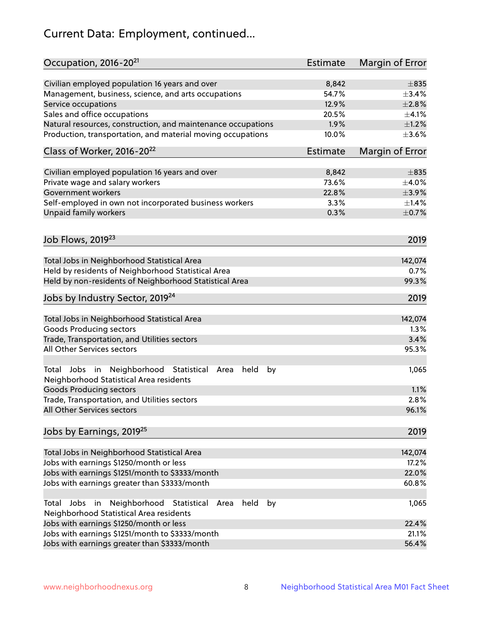# Current Data: Employment, continued...

| Occupation, 2016-20 <sup>21</sup>                                                                                | Estimate | Margin of Error |
|------------------------------------------------------------------------------------------------------------------|----------|-----------------|
| Civilian employed population 16 years and over                                                                   | 8,842    | $\pm$ 835       |
| Management, business, science, and arts occupations                                                              | 54.7%    | ±3.4%           |
| Service occupations                                                                                              | 12.9%    | $\pm 2.8\%$     |
| Sales and office occupations                                                                                     | 20.5%    | $\pm 4.1\%$     |
| Natural resources, construction, and maintenance occupations                                                     | 1.9%     | $\pm 1.2\%$     |
| Production, transportation, and material moving occupations                                                      | 10.0%    | $\pm 3.6\%$     |
| Class of Worker, 2016-20 <sup>22</sup>                                                                           | Estimate | Margin of Error |
| Civilian employed population 16 years and over                                                                   | 8,842    | $\pm$ 835       |
| Private wage and salary workers                                                                                  | 73.6%    | $\pm 4.0\%$     |
| Government workers                                                                                               | 22.8%    | $\pm$ 3.9%      |
| Self-employed in own not incorporated business workers                                                           | 3.3%     | ±1.4%           |
| Unpaid family workers                                                                                            | 0.3%     | $\pm$ 0.7%      |
| Job Flows, 2019 <sup>23</sup>                                                                                    |          | 2019            |
|                                                                                                                  |          |                 |
| Total Jobs in Neighborhood Statistical Area                                                                      |          | 142,074         |
| Held by residents of Neighborhood Statistical Area                                                               |          | 0.7%            |
| Held by non-residents of Neighborhood Statistical Area                                                           |          | 99.3%           |
| Jobs by Industry Sector, 2019 <sup>24</sup>                                                                      |          | 2019            |
| Total Jobs in Neighborhood Statistical Area                                                                      |          | 142,074         |
| <b>Goods Producing sectors</b>                                                                                   |          | 1.3%            |
| Trade, Transportation, and Utilities sectors                                                                     |          | 3.4%            |
| All Other Services sectors                                                                                       |          | 95.3%           |
| Total Jobs in Neighborhood Statistical<br>held<br>by<br>Area<br>Neighborhood Statistical Area residents          |          | 1,065           |
| <b>Goods Producing sectors</b>                                                                                   |          | 1.1%            |
| Trade, Transportation, and Utilities sectors                                                                     |          | 2.8%            |
| All Other Services sectors                                                                                       |          | 96.1%           |
| Jobs by Earnings, 2019 <sup>25</sup>                                                                             |          | 2019            |
| Total Jobs in Neighborhood Statistical Area                                                                      |          | 142,074         |
| Jobs with earnings \$1250/month or less                                                                          |          | 17.2%           |
| Jobs with earnings \$1251/month to \$3333/month                                                                  |          | 22.0%           |
| Jobs with earnings greater than \$3333/month                                                                     |          | 60.8%           |
| Neighborhood Statistical<br>Jobs<br>in<br>held<br>by<br>Total<br>Area<br>Neighborhood Statistical Area residents |          | 1,065           |
| Jobs with earnings \$1250/month or less                                                                          |          | 22.4%           |
| Jobs with earnings \$1251/month to \$3333/month                                                                  |          | 21.1%           |
| Jobs with earnings greater than \$3333/month                                                                     |          | 56.4%           |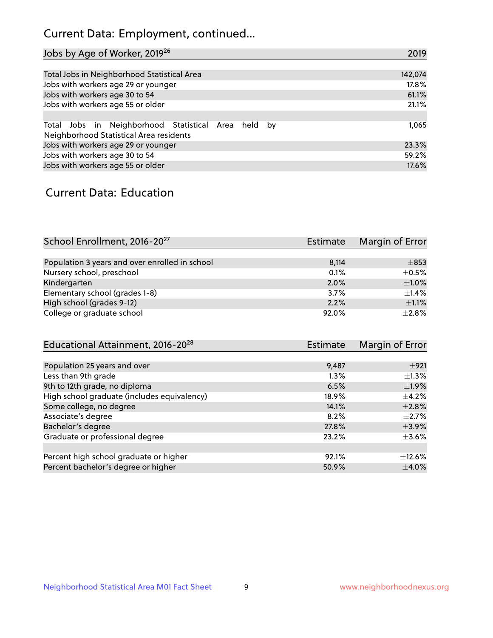# Current Data: Employment, continued...

| Jobs by Age of Worker, 2019 <sup>26</sup>           | 2019    |
|-----------------------------------------------------|---------|
|                                                     |         |
| Total Jobs in Neighborhood Statistical Area         | 142,074 |
| Jobs with workers age 29 or younger                 | 17.8%   |
| Jobs with workers age 30 to 54                      | 61.1%   |
| Jobs with workers age 55 or older                   | 21.1%   |
|                                                     |         |
| Total Jobs in Neighborhood Statistical Area held by | 1,065   |
| Neighborhood Statistical Area residents             |         |
| Jobs with workers age 29 or younger                 | 23.3%   |
| Jobs with workers age 30 to 54                      | 59.2%   |
| Jobs with workers age 55 or older                   | 17.6%   |

### Current Data: Education

| School Enrollment, 2016-20 <sup>27</sup>       | <b>Estimate</b> | Margin of Error |
|------------------------------------------------|-----------------|-----------------|
|                                                |                 |                 |
| Population 3 years and over enrolled in school | 8,114           | $\pm$ 853       |
| Nursery school, preschool                      | 0.1%            | $\pm$ 0.5%      |
| Kindergarten                                   | 2.0%            | $\pm$ 1.0%      |
| Elementary school (grades 1-8)                 | 3.7%            | $\pm$ 1.4%      |
| High school (grades 9-12)                      | 2.2%            | $\pm 1.1\%$     |
| College or graduate school                     | 92.0%           | $\pm 2.8\%$     |

| Educational Attainment, 2016-20 <sup>28</sup> | Estimate | Margin of Error |
|-----------------------------------------------|----------|-----------------|
|                                               |          |                 |
| Population 25 years and over                  | 9,487    | ±921            |
| Less than 9th grade                           | 1.3%     | $\pm 1.3\%$     |
| 9th to 12th grade, no diploma                 | 6.5%     | $\pm$ 1.9%      |
| High school graduate (includes equivalency)   | 18.9%    | $\pm$ 4.2%      |
| Some college, no degree                       | 14.1%    | $\pm 2.8\%$     |
| Associate's degree                            | 8.2%     | $\pm 2.7\%$     |
| Bachelor's degree                             | 27.8%    | $\pm$ 3.9%      |
| Graduate or professional degree               | 23.2%    | $\pm$ 3.6%      |
|                                               |          |                 |
| Percent high school graduate or higher        | 92.1%    | $\pm$ 12.6%     |
| Percent bachelor's degree or higher           | 50.9%    | $\pm$ 4.0%      |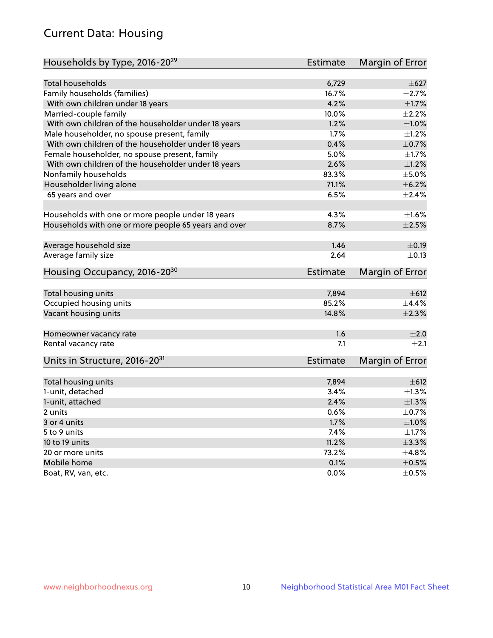# Current Data: Housing

| Households by Type, 2016-20 <sup>29</sup>            | <b>Estimate</b> | Margin of Error |
|------------------------------------------------------|-----------------|-----------------|
|                                                      |                 |                 |
| Total households                                     | 6,729           | $\pm$ 627       |
| Family households (families)                         | 16.7%           | $\pm 2.7\%$     |
| With own children under 18 years                     | 4.2%            | $\pm1.7\%$      |
| Married-couple family                                | 10.0%           | $\pm 2.2\%$     |
| With own children of the householder under 18 years  | 1.2%            | $\pm1.0\%$      |
| Male householder, no spouse present, family          | 1.7%            | $\pm$ 1.2%      |
| With own children of the householder under 18 years  | 0.4%            | $\pm$ 0.7%      |
| Female householder, no spouse present, family        | 5.0%            | $\pm 1.7\%$     |
| With own children of the householder under 18 years  | 2.6%            | $\pm 1.2\%$     |
| Nonfamily households                                 | 83.3%           | $\pm$ 5.0%      |
| Householder living alone                             | 71.1%           | $\pm$ 6.2%      |
| 65 years and over                                    | 6.5%            | $\pm$ 2.4%      |
|                                                      | 4.3%            | $\pm 1.6\%$     |
| Households with one or more people under 18 years    | 8.7%            | $\pm 2.5\%$     |
| Households with one or more people 65 years and over |                 |                 |
| Average household size                               | 1.46            | $\pm$ 0.19      |
| Average family size                                  | 2.64            | $\pm$ 0.13      |
| Housing Occupancy, 2016-20 <sup>30</sup>             | <b>Estimate</b> | Margin of Error |
| Total housing units                                  | 7,894           | $\pm 612$       |
| Occupied housing units                               | 85.2%           | $\pm$ 4.4%      |
| Vacant housing units                                 | 14.8%           | $\pm 2.3\%$     |
|                                                      |                 |                 |
| Homeowner vacancy rate                               | 1.6             | $\pm 2.0$       |
| Rental vacancy rate                                  | 7.1             | $+2.1$          |
| Units in Structure, 2016-20 <sup>31</sup>            | Estimate        | Margin of Error |
| Total housing units                                  | 7,894           | $\pm 612$       |
| 1-unit, detached                                     | 3.4%            | $\pm 1.3\%$     |
| 1-unit, attached                                     | 2.4%            | $\pm 1.3\%$     |
| 2 units                                              | 0.6%            | $\pm$ 0.7%      |
|                                                      | 1.7%            | $\pm 1.0\%$     |
| 3 or 4 units                                         |                 |                 |
| 5 to 9 units                                         | 7.4%            | $\pm 1.7\%$     |
| 10 to 19 units                                       | 11.2%           | ±3.3%           |
| 20 or more units                                     | 73.2%           | ±4.8%           |
| Mobile home                                          | 0.1%            | $\pm$ 0.5%      |
| Boat, RV, van, etc.                                  | $0.0\%$         | $\pm$ 0.5%      |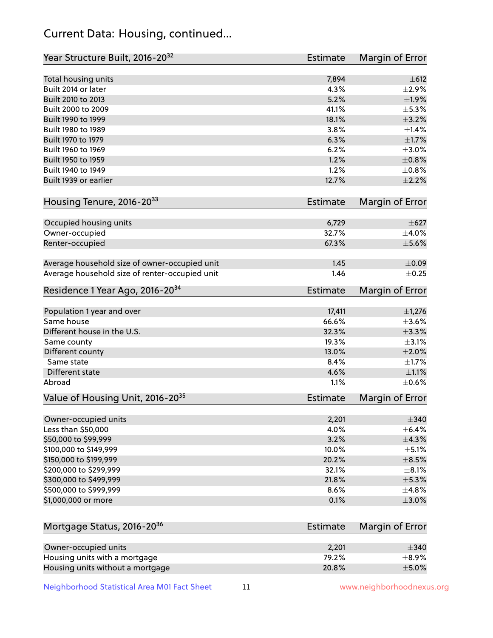# Current Data: Housing, continued...

| Year Structure Built, 2016-20 <sup>32</sup>    | Estimate        | Margin of Error |
|------------------------------------------------|-----------------|-----------------|
| Total housing units                            | 7,894           | $\pm$ 612       |
| Built 2014 or later                            | 4.3%            | $\pm 2.9\%$     |
| Built 2010 to 2013                             | 5.2%            | ±1.9%           |
| Built 2000 to 2009                             | 41.1%           | $\pm$ 5.3%      |
| Built 1990 to 1999                             | 18.1%           | $\pm$ 3.2%      |
| Built 1980 to 1989                             | 3.8%            | ±1.4%           |
| Built 1970 to 1979                             | 6.3%            | $\pm1.7\%$      |
| Built 1960 to 1969                             | 6.2%            | $\pm 3.0\%$     |
| Built 1950 to 1959                             | 1.2%            | $\pm$ 0.8%      |
| Built 1940 to 1949                             | 1.2%            | $\pm$ 0.8%      |
| Built 1939 or earlier                          | 12.7%           | $\pm 2.2\%$     |
|                                                |                 |                 |
| Housing Tenure, 2016-2033                      | Estimate        | Margin of Error |
| Occupied housing units                         | 6,729           | $\pm$ 627       |
| Owner-occupied                                 | 32.7%           | $\pm$ 4.0%      |
| Renter-occupied                                | 67.3%           | $\pm$ 5.6%      |
|                                                |                 |                 |
| Average household size of owner-occupied unit  | 1.45            | $\pm 0.09$      |
| Average household size of renter-occupied unit | 1.46            | $\pm$ 0.25      |
| Residence 1 Year Ago, 2016-20 <sup>34</sup>    | <b>Estimate</b> | Margin of Error |
| Population 1 year and over                     | 17,411          | $\pm$ 1,276     |
| Same house                                     | 66.6%           | $\pm 3.6\%$     |
| Different house in the U.S.                    | 32.3%           | $\pm$ 3.3%      |
| Same county                                    | 19.3%           | $\pm$ 3.1%      |
| Different county                               | 13.0%           | $\pm 2.0\%$     |
| Same state                                     | 8.4%            | $\pm 1.7\%$     |
| Different state                                | 4.6%            | $\pm 1.1\%$     |
| Abroad                                         | 1.1%            | $\pm$ 0.6%      |
| Value of Housing Unit, 2016-20 <sup>35</sup>   | <b>Estimate</b> | Margin of Error |
|                                                |                 |                 |
| Owner-occupied units                           | 2,201           | $\pm$ 340       |
| Less than \$50,000                             | 4.0%            | $\pm$ 6.4%      |
| \$50,000 to \$99,999                           | 3.2%            | ±4.3%           |
| \$100,000 to \$149,999                         | 10.0%           | $\pm$ 5.1%      |
| \$150,000 to \$199,999                         | 20.2%           | $\pm$ 8.5%      |
| \$200,000 to \$299,999                         | 32.1%           | $\pm$ 8.1%      |
| \$300,000 to \$499,999                         | 21.8%           | $\pm$ 5.3%      |
| \$500,000 to \$999,999                         | 8.6%            | $\pm$ 4.8%      |
| \$1,000,000 or more                            | 0.1%            | $\pm 3.0\%$     |
|                                                |                 |                 |
| Mortgage Status, 2016-20 <sup>36</sup>         | <b>Estimate</b> | Margin of Error |
| Owner-occupied units                           | 2,201           | $\pm$ 340       |
| Housing units with a mortgage                  | 79.2%           | $\pm$ 8.9%      |
| Housing units without a mortgage               | 20.8%           | $\pm$ 5.0%      |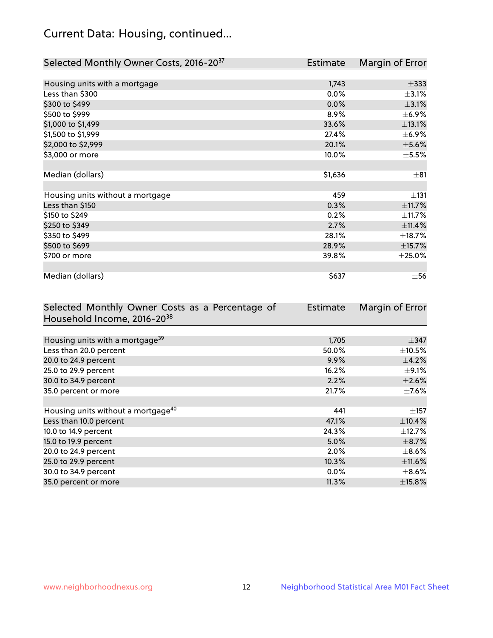# Current Data: Housing, continued...

| Selected Monthly Owner Costs, 2016-20 <sup>37</sup> | <b>Estimate</b> | Margin of Error |
|-----------------------------------------------------|-----------------|-----------------|
|                                                     |                 |                 |
| Housing units with a mortgage                       | 1,743           | $\pm$ 333       |
| Less than \$300                                     | 0.0%            | $\pm$ 3.1%      |
| \$300 to \$499                                      | 0.0%            | $\pm$ 3.1%      |
| \$500 to \$999                                      | 8.9%            | $\pm$ 6.9%      |
| \$1,000 to \$1,499                                  | 33.6%           | ±13.1%          |
| \$1,500 to \$1,999                                  | 27.4%           | $\pm$ 6.9%      |
| \$2,000 to \$2,999                                  | 20.1%           | $\pm$ 5.6%      |
| \$3,000 or more                                     | 10.0%           | $\pm$ 5.5%      |
|                                                     |                 |                 |
| Median (dollars)                                    | \$1,636         | $\pm$ 81        |
|                                                     |                 |                 |
| Housing units without a mortgage                    | 459             | $\pm$ 131       |
| Less than \$150                                     | 0.3%            | ±11.7%          |
| \$150 to \$249                                      | 0.2%            | ±11.7%          |
| \$250 to \$349                                      | 2.7%            | ±11.4%          |
| \$350 to \$499                                      | 28.1%           | ±18.7%          |
| \$500 to \$699                                      | 28.9%           | ±15.7%          |
| \$700 or more                                       | 39.8%           | $\pm 25.0\%$    |
|                                                     |                 |                 |
| Median (dollars)                                    | \$637           | $\pm$ 56        |

| Selected Monthly Owner Costs as a Percentage of | <b>Estimate</b> | Margin of Error |
|-------------------------------------------------|-----------------|-----------------|
| Household Income, 2016-20 <sup>38</sup>         |                 |                 |
|                                                 |                 |                 |
| Housing units with a mortgage <sup>39</sup>     | 1,705           | $\pm$ 347       |
| Less than 20.0 percent                          | 50.0%           | $\pm$ 10.5%     |
| 20.0 to 24.9 percent                            | 9.9%            | $\pm$ 4.2%      |
| 25.0 to 29.9 percent                            | 16.2%           | $\pm$ 9.1%      |
| 30.0 to 34.9 percent                            | 2.2%            | $\pm 2.6\%$     |
| 35.0 percent or more                            | 21.7%           | $\pm$ 7.6%      |
|                                                 |                 |                 |
| Housing units without a mortgage <sup>40</sup>  | 441             | $\pm$ 157       |
| Less than 10.0 percent                          | 47.1%           | $\pm$ 10.4%     |
| 10.0 to 14.9 percent                            | 24.3%           | $\pm$ 12.7%     |
| 15.0 to 19.9 percent                            | 5.0%            | $\pm$ 8.7%      |
| 20.0 to 24.9 percent                            | 2.0%            | $\pm$ 8.6%      |
| 25.0 to 29.9 percent                            | 10.3%           | $\pm$ 11.6%     |
| 30.0 to 34.9 percent                            | $0.0\%$         | $\pm$ 8.6%      |
| 35.0 percent or more                            | 11.3%           | $\pm$ 15.8%     |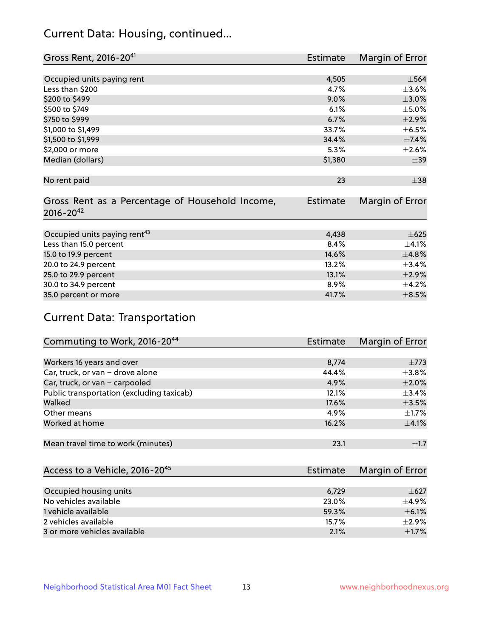# Current Data: Housing, continued...

| Gross Rent, 2016-20 <sup>41</sup>               | Estimate        | Margin of Error |
|-------------------------------------------------|-----------------|-----------------|
|                                                 |                 |                 |
| Occupied units paying rent                      | 4,505           | $\pm$ 564       |
| Less than \$200                                 | 4.7%            | $\pm 3.6\%$     |
| \$200 to \$499                                  | 9.0%            | $\pm 3.0\%$     |
| \$500 to \$749                                  | 6.1%            | $\pm$ 5.0%      |
| \$750 to \$999                                  | 6.7%            | $\pm 2.9\%$     |
| \$1,000 to \$1,499                              | 33.7%           | $\pm$ 6.5%      |
| \$1,500 to \$1,999                              | 34.4%           | ±7.4%           |
| \$2,000 or more                                 | 5.3%            | $\pm 2.6\%$     |
| Median (dollars)                                | \$1,380         | $\pm$ 39        |
|                                                 |                 |                 |
| No rent paid                                    | 23              | $\pm$ 38        |
|                                                 |                 |                 |
| Gross Rent as a Percentage of Household Income, | <b>Estimate</b> | Margin of Error |
| $2016 - 20^{42}$                                |                 |                 |
|                                                 |                 |                 |
| Occupied units paying rent <sup>43</sup>        | 4,438           | $\pm 625$       |
| Less than 15.0 percent                          | 8.4%            | $\pm$ 4.1%      |
| 15.0 to 19.9 percent                            | 14.6%           | ±4.8%           |
| 20.0 to 24.9 percent                            | 13.2%           | ±3.4%           |
| 25.0 to 29.9 percent                            | 13.1%           | $\pm 2.9\%$     |
| 30.0 to 34.9 percent                            | 8.9%            | $\pm$ 4.2%      |
| 35.0 percent or more                            | 41.7%           | $\pm$ 8.5%      |

# Current Data: Transportation

| Commuting to Work, 2016-20 <sup>44</sup>  | <b>Estimate</b> | <b>Margin of Error</b> |
|-------------------------------------------|-----------------|------------------------|
|                                           |                 |                        |
| Workers 16 years and over                 | 8,774           | $\pm 773$              |
| Car, truck, or van - drove alone          | 44.4%           | $\pm$ 3.8%             |
| Car, truck, or van - carpooled            | 4.9%            | $\pm 2.0\%$            |
| Public transportation (excluding taxicab) | 12.1%           | $\pm$ 3.4%             |
| Walked                                    | 17.6%           | $\pm$ 3.5%             |
| Other means                               | 4.9%            | $\pm 1.7\%$            |
| Worked at home                            | 16.2%           | $\pm$ 4.1%             |
|                                           |                 |                        |
| Mean travel time to work (minutes)        | 23.1            | $\pm$ 1.7              |

| Access to a Vehicle, 2016-20 <sup>45</sup> | Estimate | Margin of Error |
|--------------------------------------------|----------|-----------------|
|                                            |          |                 |
| Occupied housing units                     | 6,729    | $\pm 627$       |
| No vehicles available                      | 23.0%    | $+4.9%$         |
| 1 vehicle available                        | 59.3%    | $\pm$ 6.1%      |
| 2 vehicles available                       | 15.7%    | $+2.9%$         |
| 3 or more vehicles available               | 2.1%     | $\pm1.7\%$      |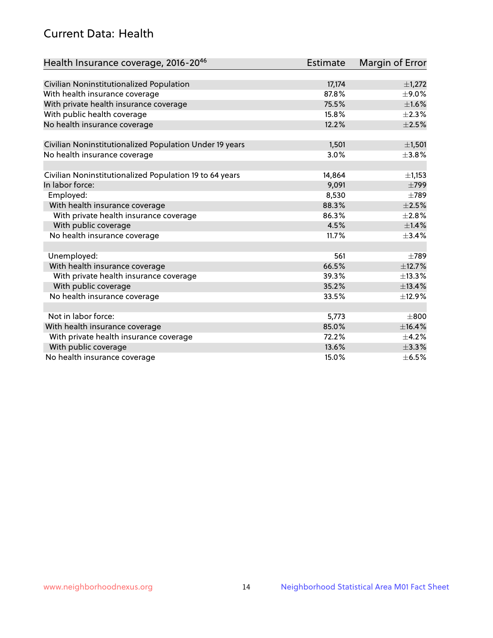# Current Data: Health

| Health Insurance coverage, 2016-2046                    | Estimate | Margin of Error |
|---------------------------------------------------------|----------|-----------------|
|                                                         |          |                 |
| Civilian Noninstitutionalized Population                | 17,174   | $\pm$ 1,272     |
| With health insurance coverage                          | 87.8%    | $\pm$ 9.0%      |
| With private health insurance coverage                  | 75.5%    | $\pm1.6\%$      |
| With public health coverage                             | 15.8%    | $\pm 2.3\%$     |
| No health insurance coverage                            | 12.2%    | $\pm 2.5\%$     |
| Civilian Noninstitutionalized Population Under 19 years | 1,501    | $\pm$ 1,501     |
| No health insurance coverage                            | 3.0%     | $\pm$ 3.8%      |
|                                                         |          |                 |
| Civilian Noninstitutionalized Population 19 to 64 years | 14,864   | $\pm$ 1,153     |
| In labor force:                                         | 9,091    | $\pm 799$       |
| Employed:                                               | 8,530    | $\pm 789$       |
| With health insurance coverage                          | 88.3%    | $\pm 2.5\%$     |
| With private health insurance coverage                  | 86.3%    | $\pm 2.8\%$     |
| With public coverage                                    | 4.5%     | $\pm$ 1.4%      |
| No health insurance coverage                            | 11.7%    | $\pm$ 3.4%      |
|                                                         |          |                 |
| Unemployed:                                             | 561      | $\pm 789$       |
| With health insurance coverage                          | 66.5%    | ±12.7%          |
| With private health insurance coverage                  | 39.3%    | ±13.3%          |
| With public coverage                                    | 35.2%    | ±13.4%          |
| No health insurance coverage                            | 33.5%    | ±12.9%          |
|                                                         |          |                 |
| Not in labor force:                                     | 5,773    | $\pm 800$       |
| With health insurance coverage                          | 85.0%    | ±16.4%          |
| With private health insurance coverage                  | 72.2%    | $\pm$ 4.2%      |
| With public coverage                                    | 13.6%    | ±3.3%           |
| No health insurance coverage                            | 15.0%    | $\pm$ 6.5%      |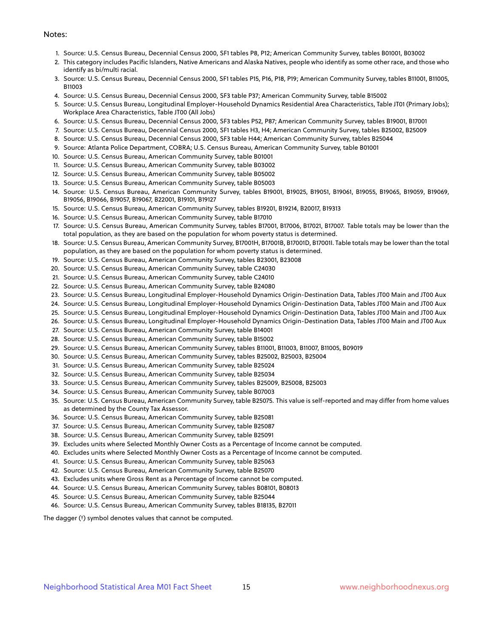#### Notes:

- 1. Source: U.S. Census Bureau, Decennial Census 2000, SF1 tables P8, P12; American Community Survey, tables B01001, B03002
- 2. This category includes Pacific Islanders, Native Americans and Alaska Natives, people who identify as some other race, and those who identify as bi/multi racial.
- 3. Source: U.S. Census Bureau, Decennial Census 2000, SF1 tables P15, P16, P18, P19; American Community Survey, tables B11001, B11005, B11003
- 4. Source: U.S. Census Bureau, Decennial Census 2000, SF3 table P37; American Community Survey, table B15002
- 5. Source: U.S. Census Bureau, Longitudinal Employer-Household Dynamics Residential Area Characteristics, Table JT01 (Primary Jobs); Workplace Area Characteristics, Table JT00 (All Jobs)
- 6. Source: U.S. Census Bureau, Decennial Census 2000, SF3 tables P52, P87; American Community Survey, tables B19001, B17001
- 7. Source: U.S. Census Bureau, Decennial Census 2000, SF1 tables H3, H4; American Community Survey, tables B25002, B25009
- 8. Source: U.S. Census Bureau, Decennial Census 2000, SF3 table H44; American Community Survey, tables B25044
- 9. Source: Atlanta Police Department, COBRA; U.S. Census Bureau, American Community Survey, table B01001
- 10. Source: U.S. Census Bureau, American Community Survey, table B01001
- 11. Source: U.S. Census Bureau, American Community Survey, table B03002
- 12. Source: U.S. Census Bureau, American Community Survey, table B05002
- 13. Source: U.S. Census Bureau, American Community Survey, table B05003
- 14. Source: U.S. Census Bureau, American Community Survey, tables B19001, B19025, B19051, B19061, B19055, B19065, B19059, B19069, B19056, B19066, B19057, B19067, B22001, B19101, B19127
- 15. Source: U.S. Census Bureau, American Community Survey, tables B19201, B19214, B20017, B19313
- 16. Source: U.S. Census Bureau, American Community Survey, table B17010
- 17. Source: U.S. Census Bureau, American Community Survey, tables B17001, B17006, B17021, B17007. Table totals may be lower than the total population, as they are based on the population for whom poverty status is determined.
- 18. Source: U.S. Census Bureau, American Community Survey, B17001H, B17001B, B17001D, B17001I. Table totals may be lower than the total population, as they are based on the population for whom poverty status is determined.
- 19. Source: U.S. Census Bureau, American Community Survey, tables B23001, B23008
- 20. Source: U.S. Census Bureau, American Community Survey, table C24030
- 21. Source: U.S. Census Bureau, American Community Survey, table C24010
- 22. Source: U.S. Census Bureau, American Community Survey, table B24080
- 23. Source: U.S. Census Bureau, Longitudinal Employer-Household Dynamics Origin-Destination Data, Tables JT00 Main and JT00 Aux
- 24. Source: U.S. Census Bureau, Longitudinal Employer-Household Dynamics Origin-Destination Data, Tables JT00 Main and JT00 Aux
- 25. Source: U.S. Census Bureau, Longitudinal Employer-Household Dynamics Origin-Destination Data, Tables JT00 Main and JT00 Aux
- 26. Source: U.S. Census Bureau, Longitudinal Employer-Household Dynamics Origin-Destination Data, Tables JT00 Main and JT00 Aux
- 27. Source: U.S. Census Bureau, American Community Survey, table B14001
- 28. Source: U.S. Census Bureau, American Community Survey, table B15002
- 29. Source: U.S. Census Bureau, American Community Survey, tables B11001, B11003, B11007, B11005, B09019
- 30. Source: U.S. Census Bureau, American Community Survey, tables B25002, B25003, B25004
- 31. Source: U.S. Census Bureau, American Community Survey, table B25024
- 32. Source: U.S. Census Bureau, American Community Survey, table B25034
- 33. Source: U.S. Census Bureau, American Community Survey, tables B25009, B25008, B25003
- 34. Source: U.S. Census Bureau, American Community Survey, table B07003
- 35. Source: U.S. Census Bureau, American Community Survey, table B25075. This value is self-reported and may differ from home values as determined by the County Tax Assessor.
- 36. Source: U.S. Census Bureau, American Community Survey, table B25081
- 37. Source: U.S. Census Bureau, American Community Survey, table B25087
- 38. Source: U.S. Census Bureau, American Community Survey, table B25091
- 39. Excludes units where Selected Monthly Owner Costs as a Percentage of Income cannot be computed.
- 40. Excludes units where Selected Monthly Owner Costs as a Percentage of Income cannot be computed.
- 41. Source: U.S. Census Bureau, American Community Survey, table B25063
- 42. Source: U.S. Census Bureau, American Community Survey, table B25070
- 43. Excludes units where Gross Rent as a Percentage of Income cannot be computed.
- 44. Source: U.S. Census Bureau, American Community Survey, tables B08101, B08013
- 45. Source: U.S. Census Bureau, American Community Survey, table B25044
- 46. Source: U.S. Census Bureau, American Community Survey, tables B18135, B27011

The dagger (†) symbol denotes values that cannot be computed.